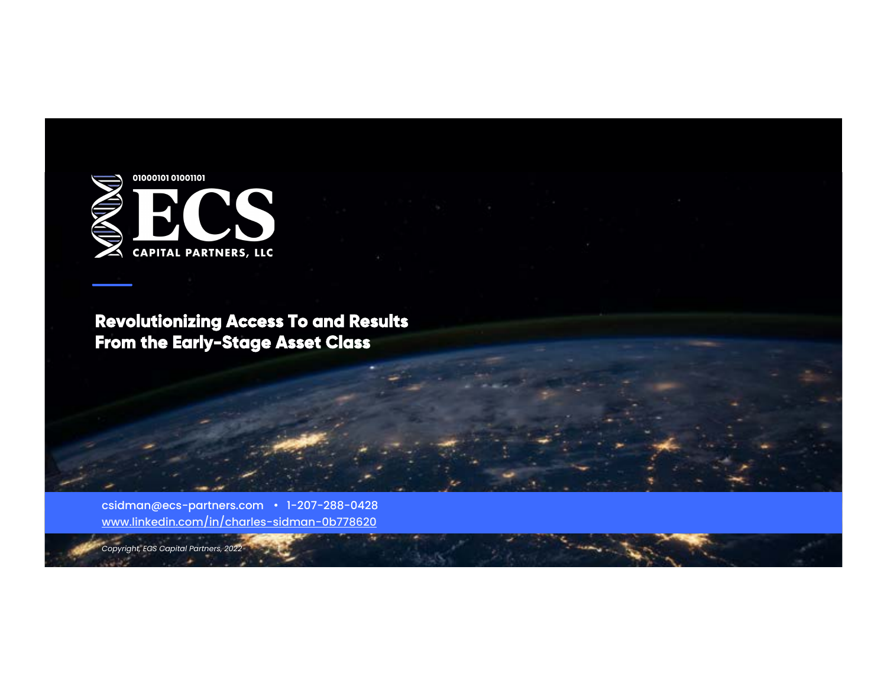

**Revolutionizing Access To and Results From the Early-Stage Asset Class** 

csidman@ecs-partners.com · 1-207-288-0428 www.linkedin.com/in/charles-sidman-0b778620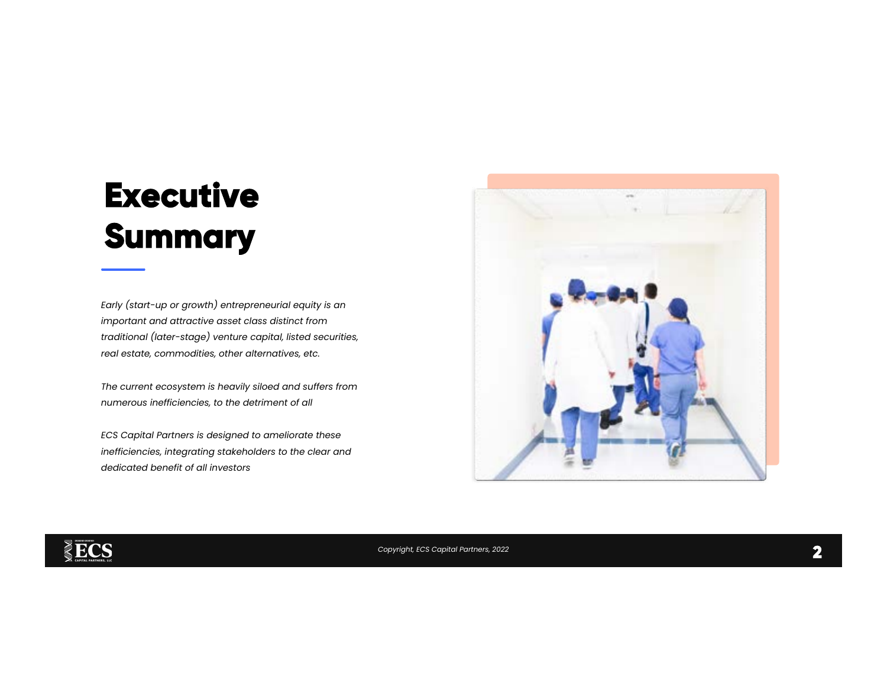# **Executive Summary**

Early (start-up or growth) entrepreneurial equity is an important and attractive asset class distinct from traditional (later-stage) venture capital, listed securities, real estate, commodities, other alternatives, etc.

The current ecosystem is heavily siloed and suffers from numerous inefficiencies, to the detriment of all

ECS Capital Partners is designed to ameliorate these inefficiencies, integrating stakeholders to the clear and dedicated benefit of all investors



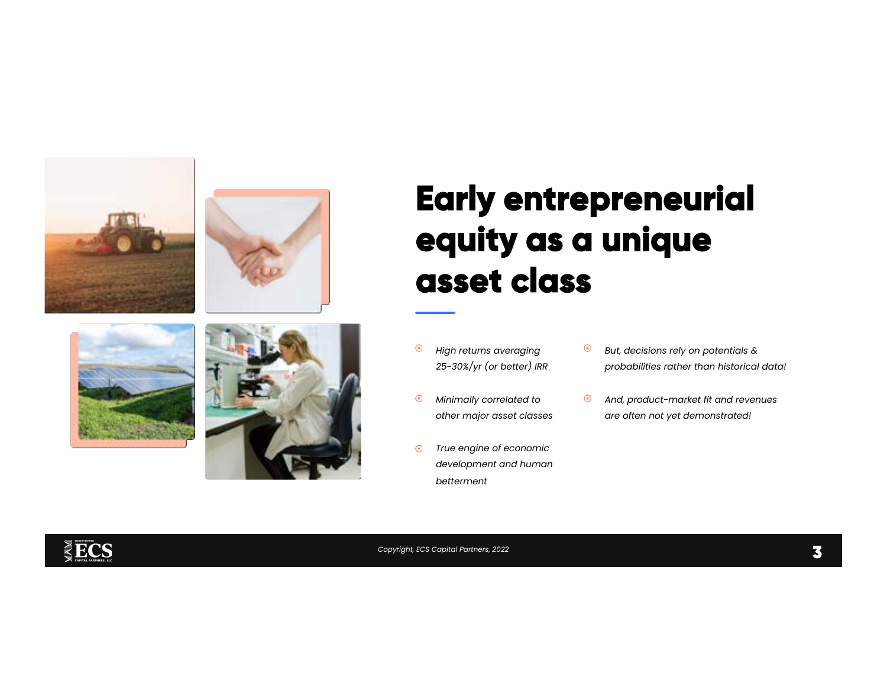







## **Early entrepreneurial equity as a unique asset class**

- $\odot$ High returns averaging 25-30%/yr (or better) IRR
- Minimally correlated to  $\odot$ other major asset classes
- True engine of economic  $\odot$ development and human betterment
- $\odot$ But, decisions rely on potentials & probabilities rather than historical data!
- And, product-market fit and revenues  $\odot$ are often not yet demonstrated!

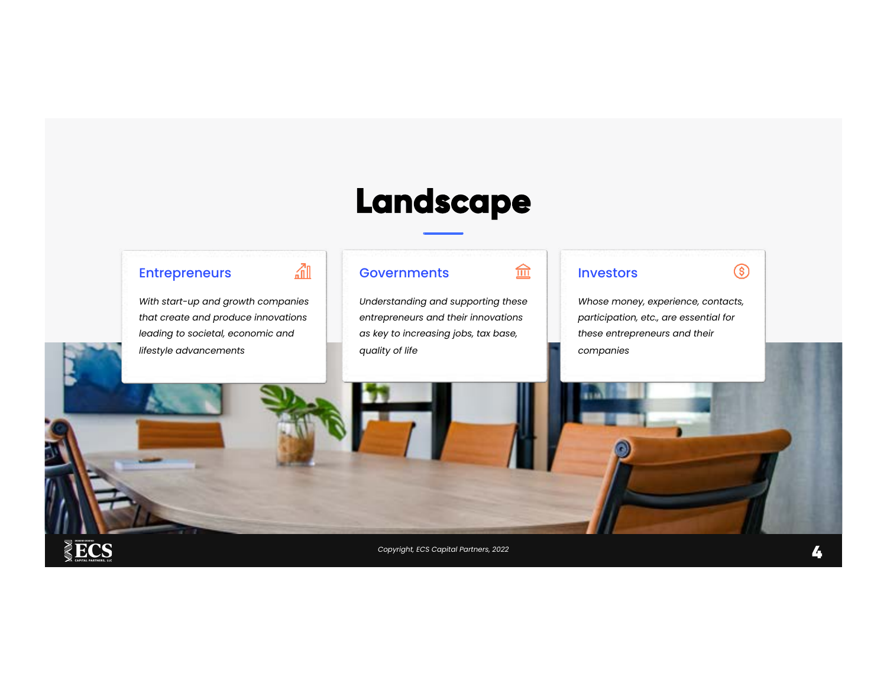### **Landscape**

### Entrepreneurs

ECS

With start-up and growth companies that create and produce innovations leading to societal, economic and lifestyle advancements

血

### **Governments**

Understanding and supporting these entrepreneurs and their innovations as key to increasing jobs, tax base, quality of life

#### Investors

血

Whose money, experience, contacts, participation, etc., are essential for these entrepreneurs and their companies

 $\circledS$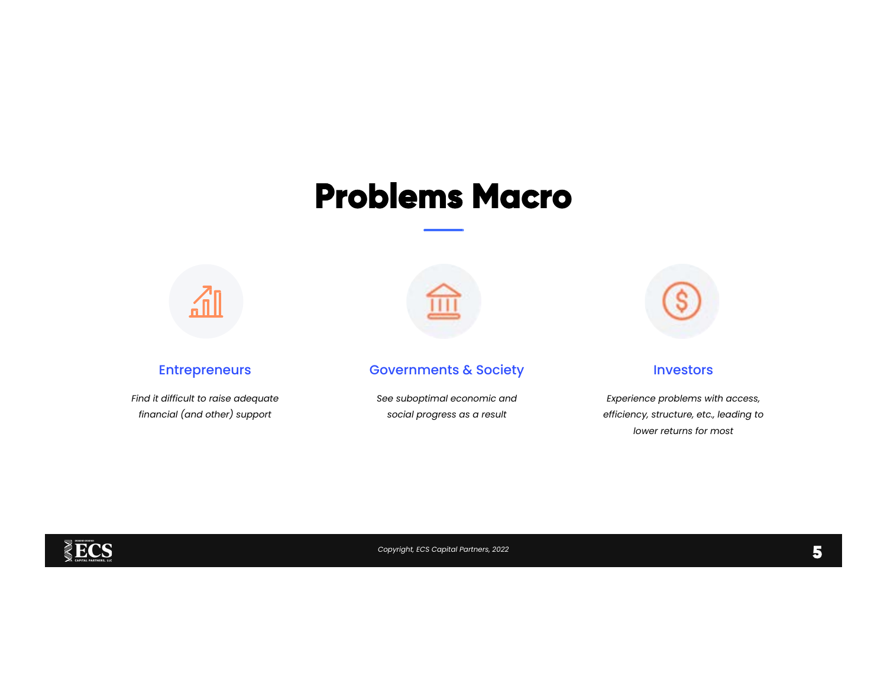### **Problems Macro**



### Entrepreneurs

Find it difficult to raise adequate financial (and other) support



### Governments & Society

See suboptimal economic and social progress as a result



#### **Investors**

Experience problems with access, efficiency, structure, etc., leading to lower returns for most

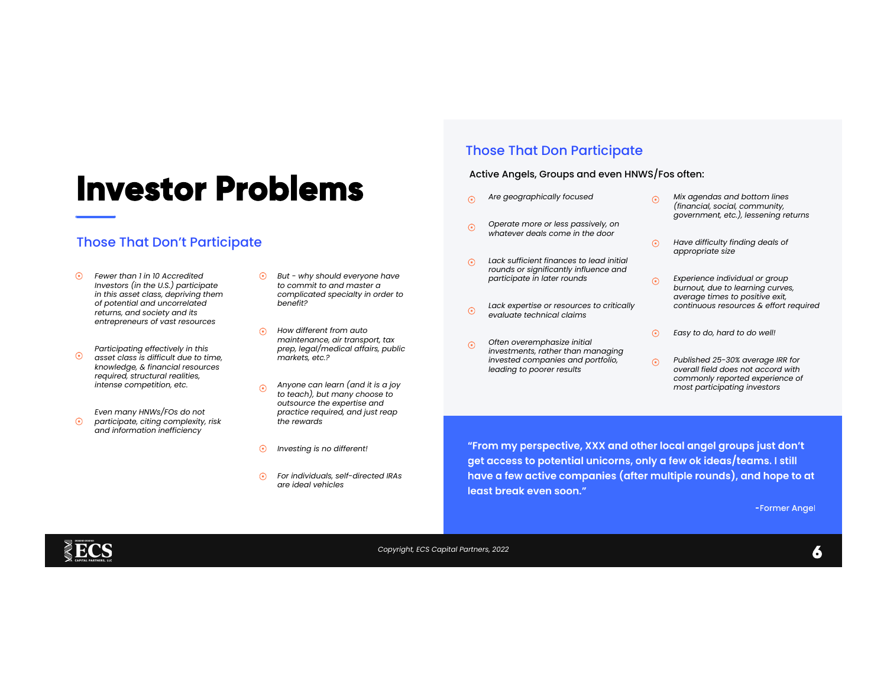### **Investor Problems**

### Those That Don't Participate

- $\odot$ Fewer than 1 in 10 Accredited Investors (in the U.S.) participate in this asset class, depriving them of potential and uncorrelated returns, and society and its entrepreneurs of vast resources
- Participating effectively in this  $\odot$ asset class is difficult due to time, knowledge, & financial resources required, structural realities, intense competition, etc.
- Even many HNWs/FOs do not  $\odot$ participate, citing complexity, risk and information inefficiency
- $\odot$  But why should everyone have to commit to and master a complicated specialty in order to benefit?
- $\odot$  How different from auto maintenance, air transport, tax prep, legal/medical affairs, public markets, etc.?
- Anyone can learn (and it is a joy  $\odot$ to teach), but many choose to outsource the expertise and practice required, and just reap the rewards
- $\odot$ Investing is no different!
- $\odot$ For individuals, self-directed IRAs are ideal vehicles

### Those That Don Participate

#### Active Angels, Groups and even HNWS/Fos often:

- Are geographically focused  $\odot$
- Operate more or less passively, on  $\odot$ whatever deals come in the door
- Lack sufficient finances to lead initial  $\odot$ rounds or significantly influence and participate in later rounds
- Lack expertise or resources to critically  $\odot$ evaluate technical claims
- Often overemphasize initial  $\odot$ investments, rather than managing invested companies and portfolio, leading to poorer results
- Mix agendas and bottom lines  $\odot$ (financial, social, community, government, etc.), lessening returns
- $\odot$ Have difficulty finding deals of appropriate size
- Experience individual or group  $\odot$ burnout, due to learning curves, average times to positive exit, continuous resources & effort required
- $\odot$ Easy to do, hard to do well!
- Published 25-30% average IRR for  $\odot$ overall field does not accord with commonly reported experience of most participating investors

"From my perspective, XXX and other local angel groups just don't get access to potential unicorns, only a few ok ideas/teams. I still have a few active companies (after multiple rounds), and hope to at least break even soon."

-Former Angel

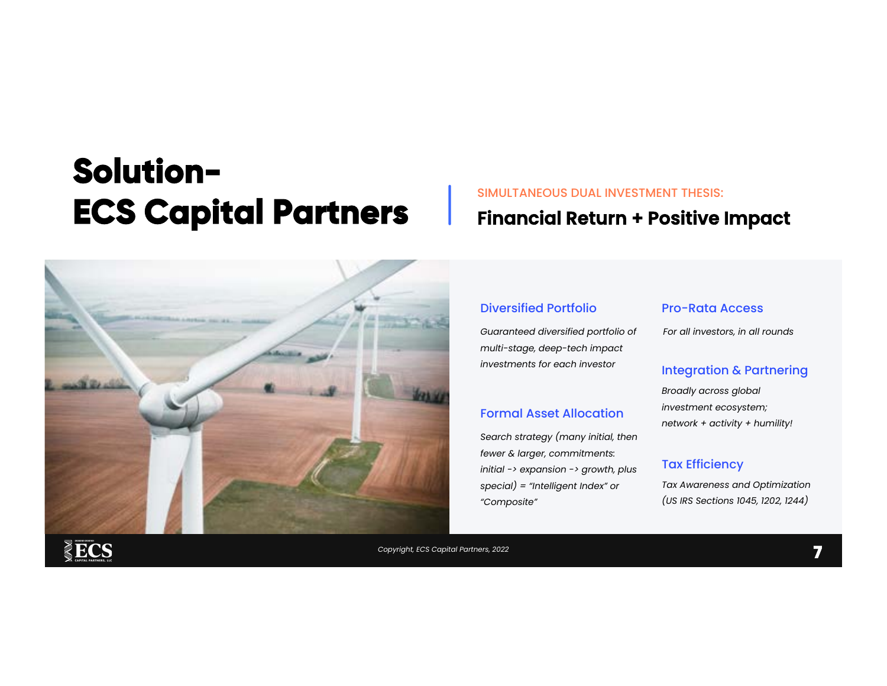### **Solution-ECS Capital Partners**



### SIMULTANEOUS DUAL INVESTMENT THESIS: Financial Return + Positive Impact

### Diversified Portfolio Pro-Rata Access

Guaranteed diversified portfolio of multi-stage, deep-tech impact investments for each investor

#### Formal Asset Allocation

Search strategy (many initial, then fewer & larger, commitments: initial -> expansion -> growth, plus special) = "Intelligent Index" or "Composite"

For all investors, in all rounds

#### Integration & Partnering

Broadly across global investment ecosystem; network + activity + humility!

#### Tax Efficiency

Tax Awareness and Optimization (US IRS Sections 1045, 1202, 1244)

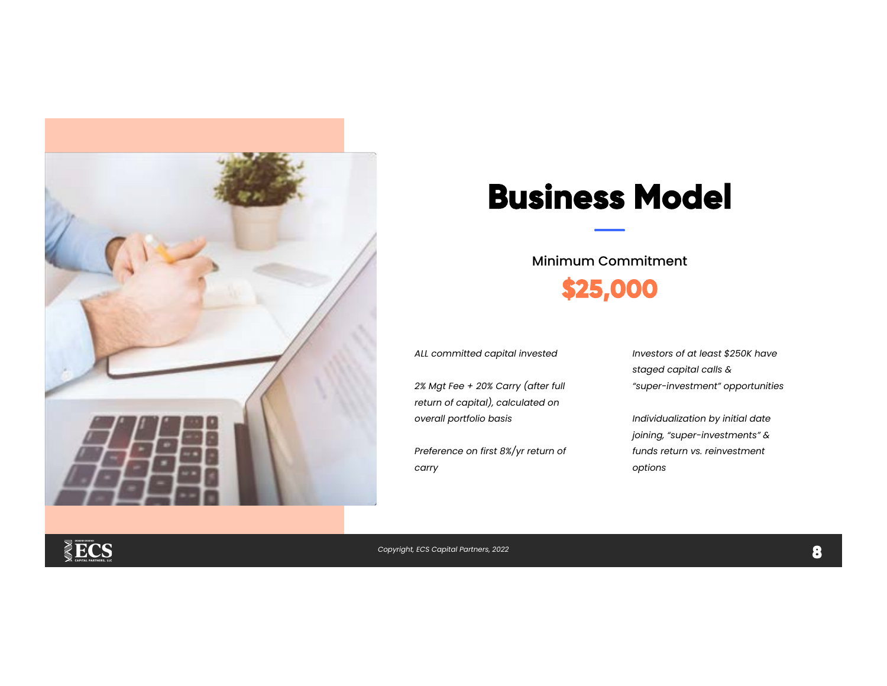

### **Business Model**

Minimum Commitment **\$25,000** 

ALL committed capital invested

2% Mgt Fee + 20% Carry (after full return of capital), calculated on overall portfolio basis

Preference on first 8%/yr return of carry

Investors of at least \$250K have staged capital calls & "super-investment" opportunities

Individualization by initial date joining, "super-investments" & funds return vs. reinvestment options

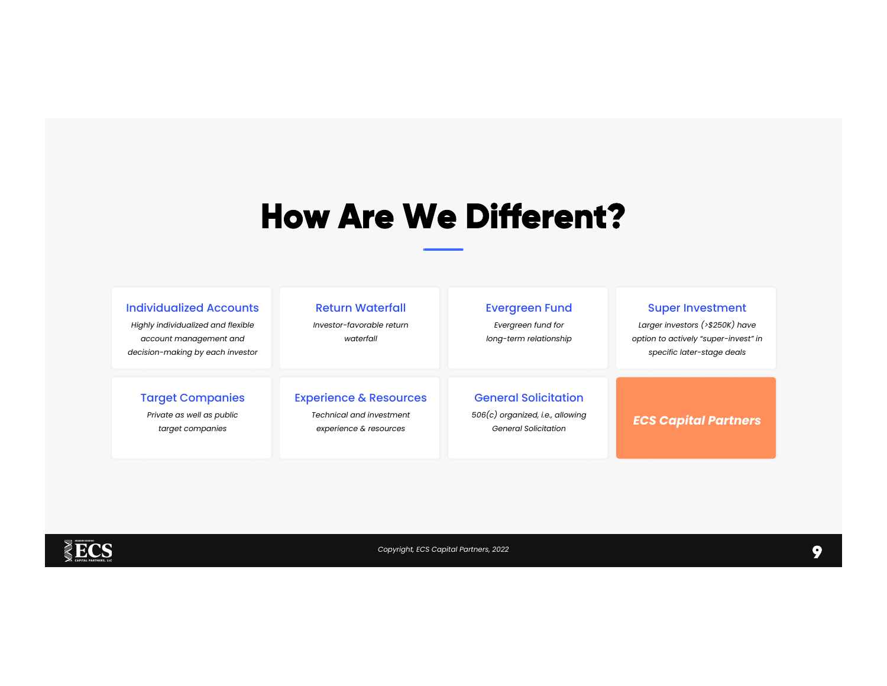### **How Are We Different?**

| <b>Individualized Accounts</b><br>Highly individualized and flexible<br>account management and<br>decision-making by each investor | <b>Return Waterfall</b><br>Investor-favorable return<br>waterfall | <b>Evergreen Fund</b><br>Evergreen fund for<br>long-term relationship | <b>Super Investment</b><br>Larger investors (>\$250K) have<br>option to actively "super-invest" in<br>specific later-stage deals |
|------------------------------------------------------------------------------------------------------------------------------------|-------------------------------------------------------------------|-----------------------------------------------------------------------|----------------------------------------------------------------------------------------------------------------------------------|
| <b>Target Companies</b>                                                                                                            | <b>Experience &amp; Resources</b>                                 | <b>General Solicitation</b>                                           | <b>ECS Capital Partners</b>                                                                                                      |
| Private as well as public                                                                                                          | <b>Technical and investment</b>                                   | $506(c)$ organized, i.e., allowing                                    |                                                                                                                                  |
| target companies                                                                                                                   | experience & resources                                            | <b>General Solicitation</b>                                           |                                                                                                                                  |

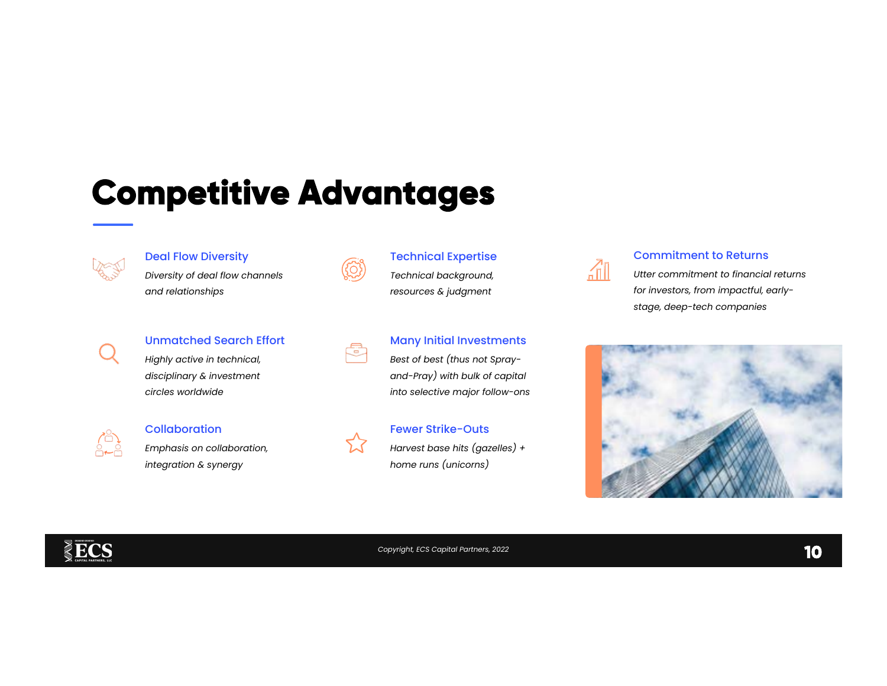## **Competitive Advantages**



#### Deal Flow Diversity

Diversity of deal flow channels and relationships

#### Unmatched Search Effort

Highly active in technical, disciplinary & investment circles worldwide



#### **Collaboration**

Emphasis on collaboration, integration & synergy



#### Technical Expertise

Technical background, resources & judgment



### Many Initial Investments

Best of best (thus not Sprayand-Pray) with bulk of capital into selective major follow-ons



### Fewer Strike-Outs

Harvest base hits (gazelles) + home runs (unicorns)



#### Commitment to Returns

Utter commitment to financial returns for investors, from impactful, earlystage, deep-tech companies



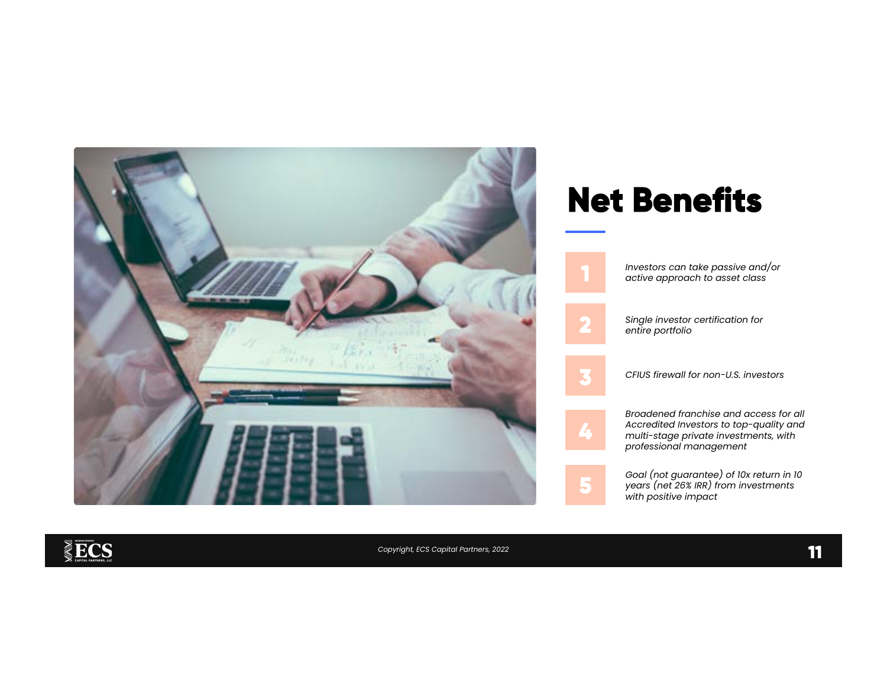

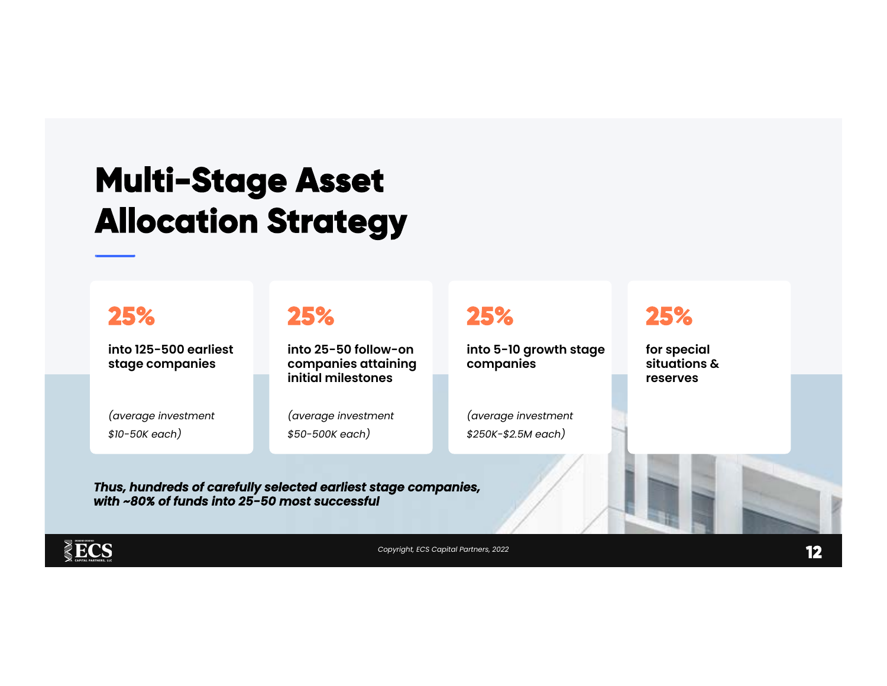## **Multi-Stage Asset Allocation Strategy**

### **25%**

into 125-500 earliest stage companies

(average investment \$10-50K each)

### **25%**

Thus, hundreds of carefully selected earliest stage companies,

with ~80% of funds into 25-50 most successful

into 25-50 follow-on companies attaining initial milestones

(average investment \$50-500K each)

### **25%**

into 5-10 growth stage companies

(average investment \$250K-\$2.5M each)

### **25%**

for special situations & reserves

 $\S$ ECS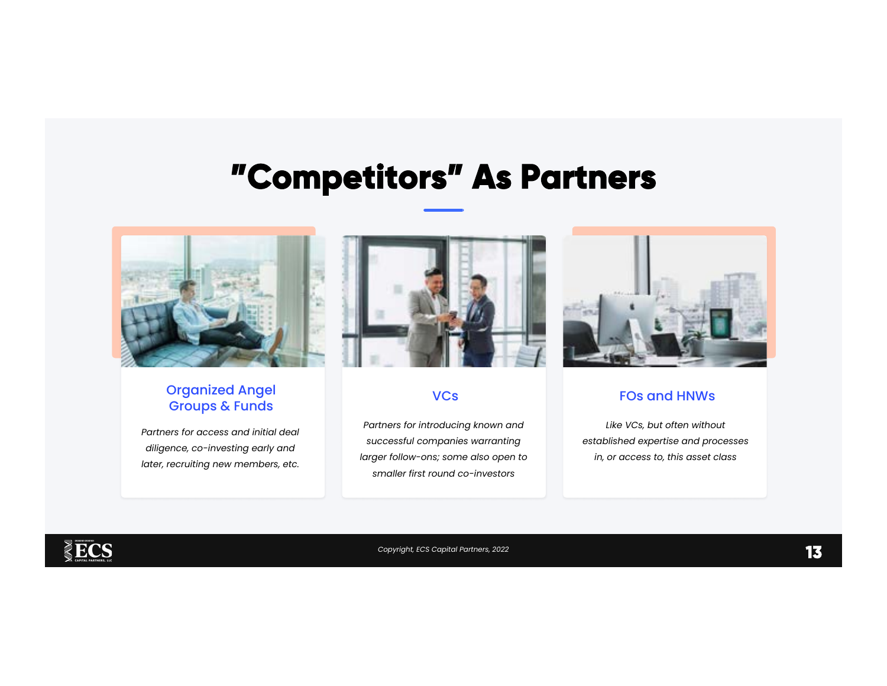### **"Competitors" As Partners**



### Organized Angel Groups & Funds

Partners for access and initial deal diligence, co-investing early and later, recruiting new members, etc.



#### **VCs**

Partners for introducing known and successful companies warranting larger follow-ons; some also open to smaller first round co-investors



### FOs and HNWs

Like VCs, but often without established expertise and processes in, or access to, this asset class

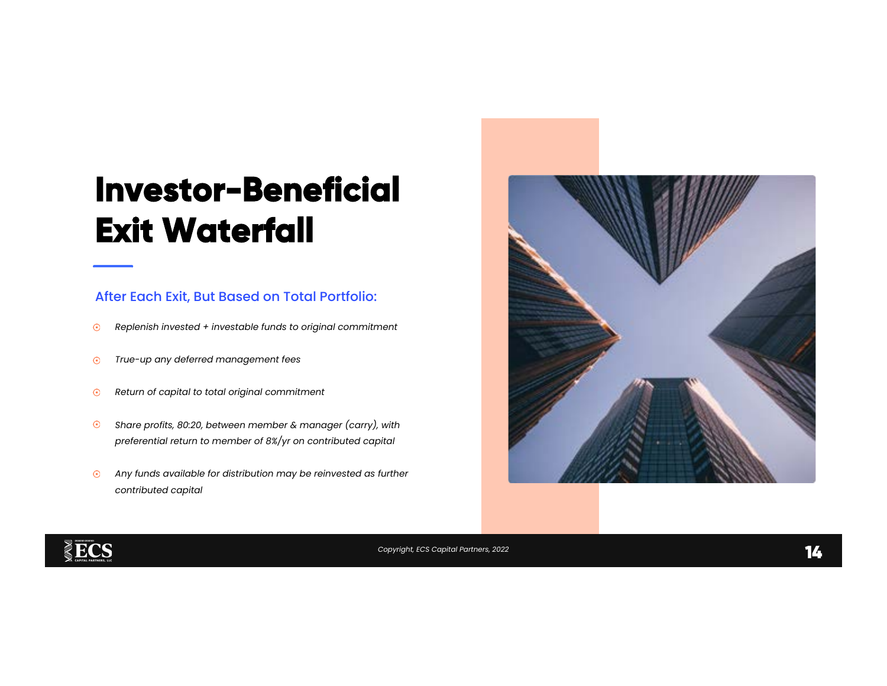## **Investor-Beneficial Exit Waterfall**

### After Each Exit, But Based on Total Portfolio:

- Replenish invested + investable funds to original commitment  $\odot$
- True-up any deferred management fees  $\odot$
- Return of capital to total original commitment  $\odot$
- $\odot$ Share profits, 80:20, between member & manager (carry), with preferential return to member of 8%/yr on contributed capital
- $\odot$ Any funds available for distribution may be reinvested as further contributed capital





Copyright, ECS Capital Partners, 2022 **14** *According to the Connection* Connection Connection Connection Connection Connection Connection Connection Connection Connection Connection Connection Connection Connection Connec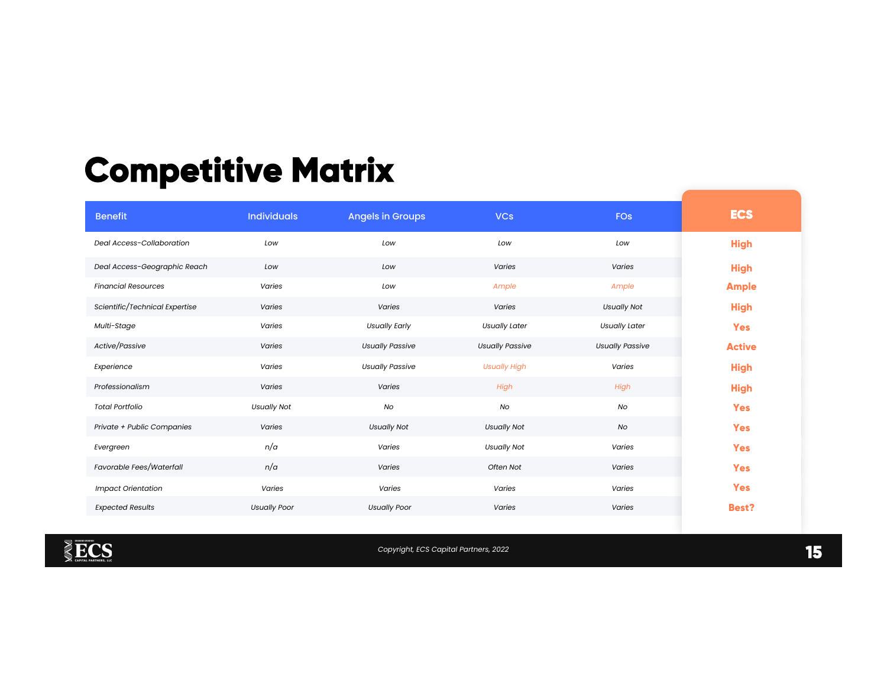## **Competitive Matrix**

| <b>Benefit</b>                 | <b>Individuals</b>  | <b>Angels in Groups</b> | <b>VCs</b>             | <b>FOs</b>             | <b>ECS</b>    |
|--------------------------------|---------------------|-------------------------|------------------------|------------------------|---------------|
| Deal Access-Collaboration      | Low                 | Low                     | Low                    | Low                    | <b>High</b>   |
| Deal Access-Geographic Reach   | Low                 | Low                     | Varies                 | Varies                 | <b>High</b>   |
| <b>Financial Resources</b>     | Varies              | Low                     | Ample                  | Ample                  | <b>Ample</b>  |
| Scientific/Technical Expertise | Varies              | Varies                  | Varies                 | <b>Usually Not</b>     | <b>High</b>   |
| Multi-Stage                    | Varies              | <b>Usually Early</b>    | <b>Usually Later</b>   | <b>Usually Later</b>   | <b>Yes</b>    |
| Active/Passive                 | Varies              | <b>Usually Passive</b>  | <b>Usually Passive</b> | <b>Usually Passive</b> | <b>Active</b> |
| Experience                     | Varies              | <b>Usually Passive</b>  | <b>Usually High</b>    | Varies                 | <b>High</b>   |
| Professionalism                | Varies              | Varies                  | High                   | High                   | <b>High</b>   |
| <b>Total Portfolio</b>         | <b>Usually Not</b>  | No                      | No                     | No                     | <b>Yes</b>    |
| Private + Public Companies     | Varies              | <b>Usually Not</b>      | <b>Usually Not</b>     | No                     | <b>Yes</b>    |
| Evergreen                      | n/a                 | Varies                  | <b>Usually Not</b>     | Varies                 | <b>Yes</b>    |
| Favorable Fees/Waterfall       | n/a                 | Varies                  | Often Not              | Varies                 | <b>Yes</b>    |
| <b>Impact Orientation</b>      | Varies              | Varies                  | Varies                 | Varies                 | <b>Yes</b>    |
| <b>Expected Results</b>        | <b>Usually Poor</b> | <b>Usually Poor</b>     | <b>Varies</b>          | Varies                 | <b>Best?</b>  |



**Copyright, ECS Capital Partners, 2022 15 <b>15 15**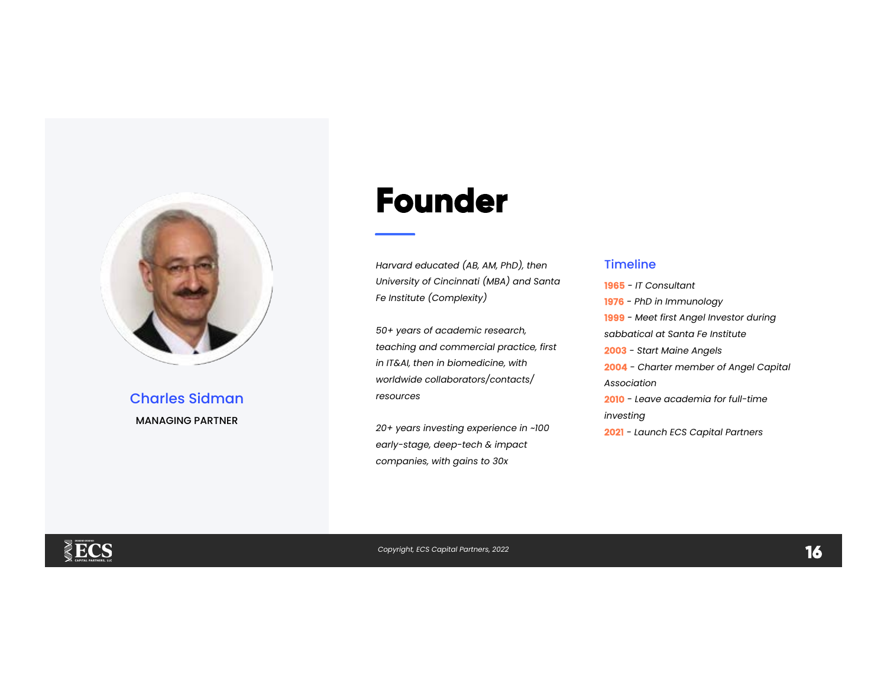

### Charles Sidman MANAGING PARTNER

### **Founder**

Harvard educated (AB, AM, PhD), then University of Cincinnati (MBA) and Santa Fe Institute (Complexity)

50+ years of academic research, teaching and commercial practice, first in IT&AI, then in biomedicine, with worldwide collaborators/contacts/ resources

20+ years investing experience in ~100 early-stage, deep-tech & impact companies, with gains to 30x

#### Timeline

1965 - IT Consultant 1976 - PhD in Immunology 1999 - Meet first Angel Investor during sabbatical at Santa Fe Institute 2003 - Start Maine Angels 2004 - Charter member of Angel Capital Association 2010 - Leave academia for full-time investing 2021 - Launch ECS Capital Partners

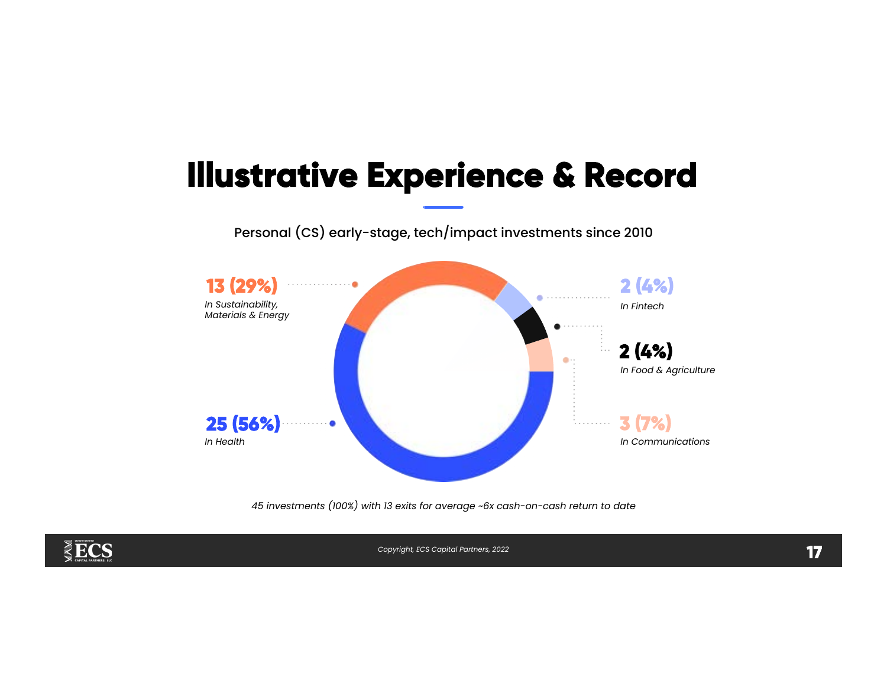## **Illustrative Experience & Record**

Personal (CS) early-stage, tech/impact investments since 2010



45 investments (100%) with 13 exits for average ~6x cash-on-cash return to date

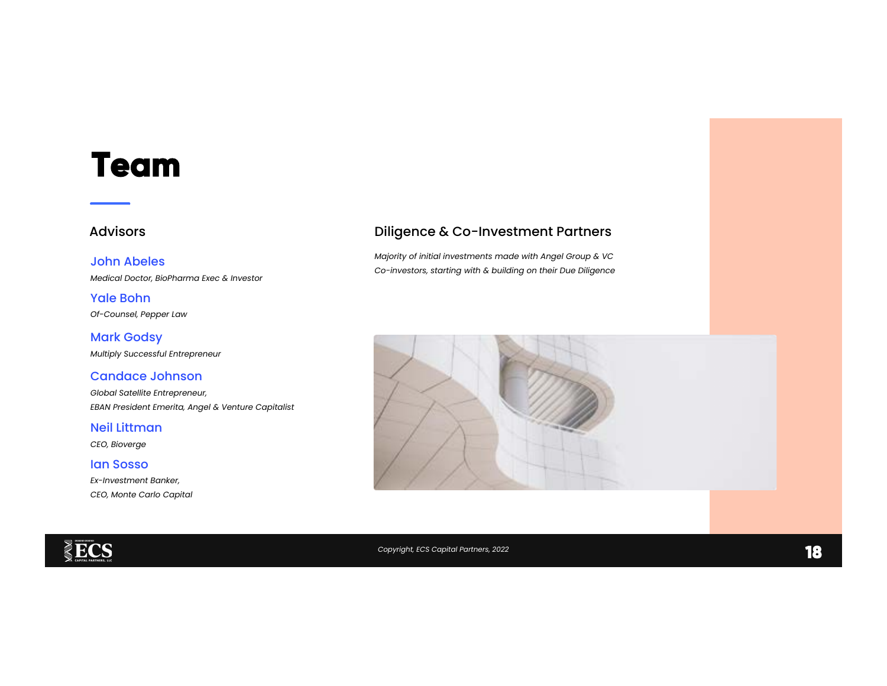### **Team**

#### John Abeles

Medical Doctor, BioPharma Exec & Investor

Of-Counsel, Pepper Law Yale Bohn

Multiply Successful Entrepreneur Mark Godsy

#### Candace Johnson

Global Satellite Entrepreneur, EBAN President Emerita, Angel & Venture Capitalist

Neil Littman

CEO, Bioverge

Ian Sosso

Ex-Investment Banker, CEO, Monte Carlo Capital

### Advisors **Advisors Diligence & Co-Investment Partners**

Majority of initial investments made with Angel Group & VC Co-investors, starting with & building on their Due Diligence



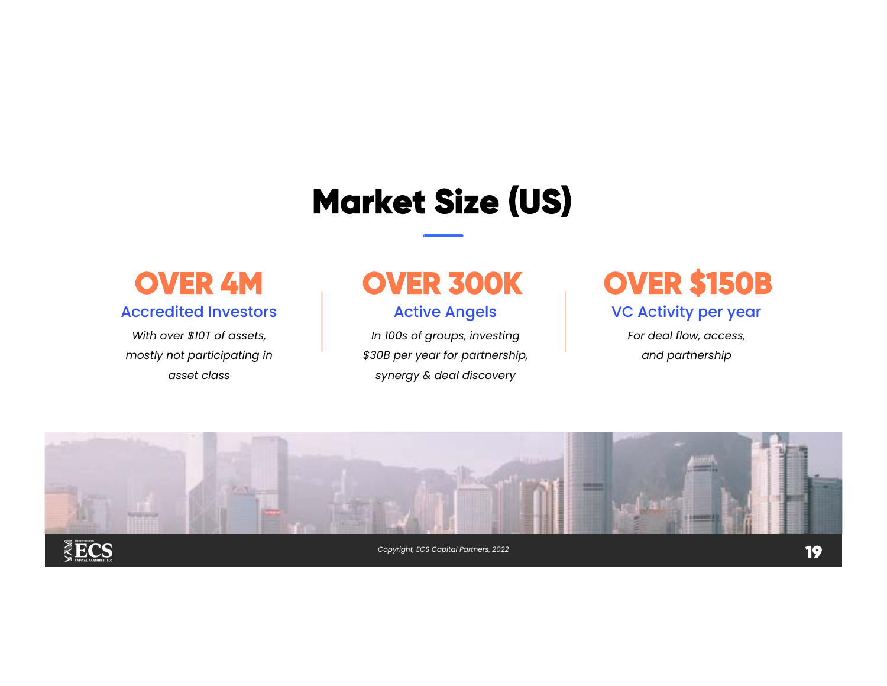# **Market Size (US)**



With over \$10T of assets, mostly not participating in asset class

Active Angels

In 100s of groups, investing \$30B per year for partnership, synergy & deal discovery

### **OVER 4M OVER 300K OVER \$150B**

### VC Activity per year

For deal flow, access, and partnership

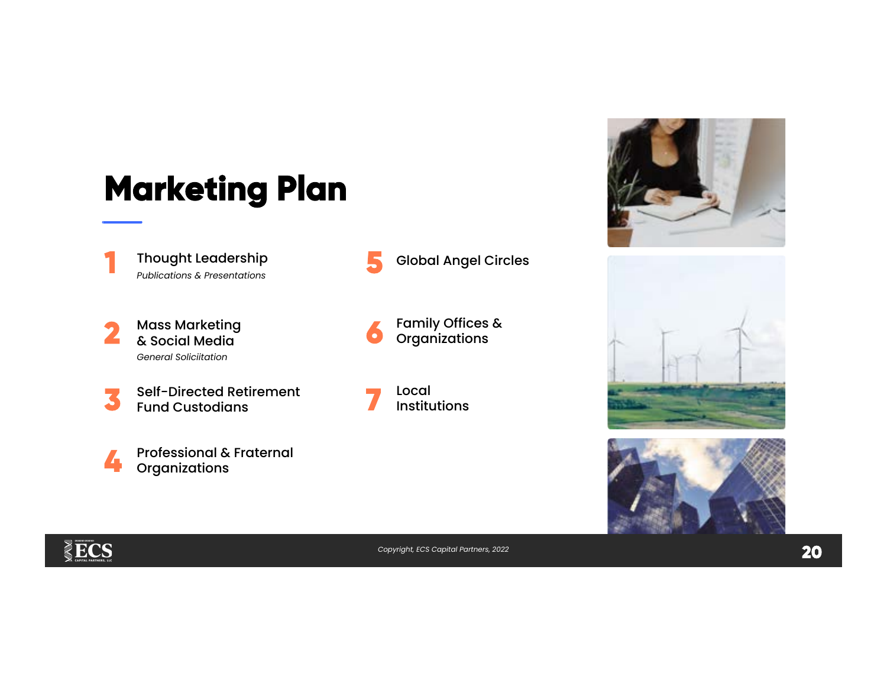# **Marketing Plan**

**1**  Thought Leadership Publications & Presentations

**2** Mass Marketing & Social Media General Soliciitation

**3** Self-Directed Retirement Fund Custodians



**5** Global Angel Circles

**6** Family Offices & **Organizations** 

**7** Local Institutions







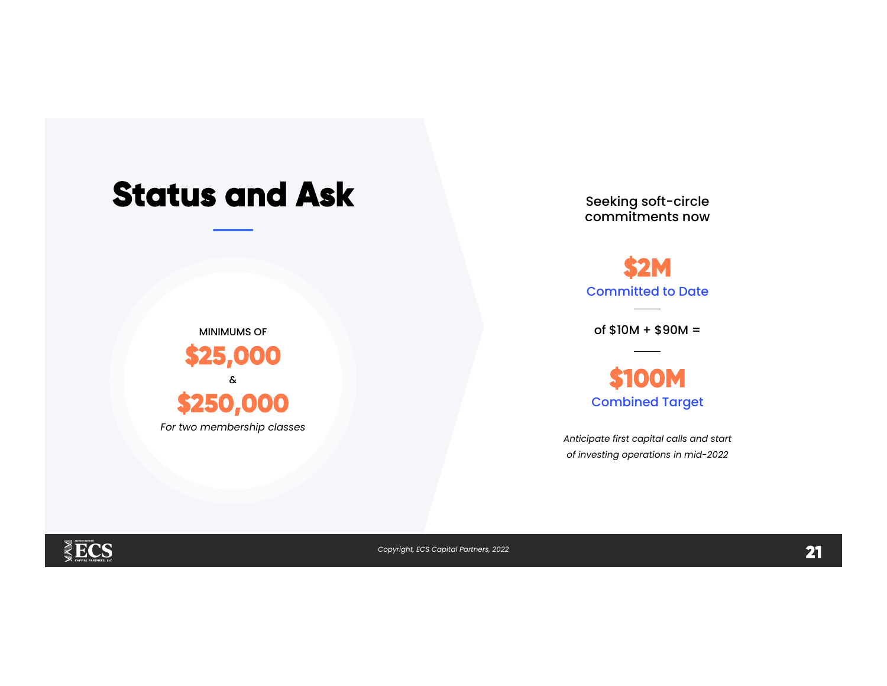### **Status and Ask**

MINIMUMS OF

**\$25,000** 

Seeking soft-circle commitments now

**\$2M**  Committed to Date

 $of $10M + $90M =$ 

**\$100M**  Combined Target

Anticipate first capital calls and start of investing operations in mid-2022